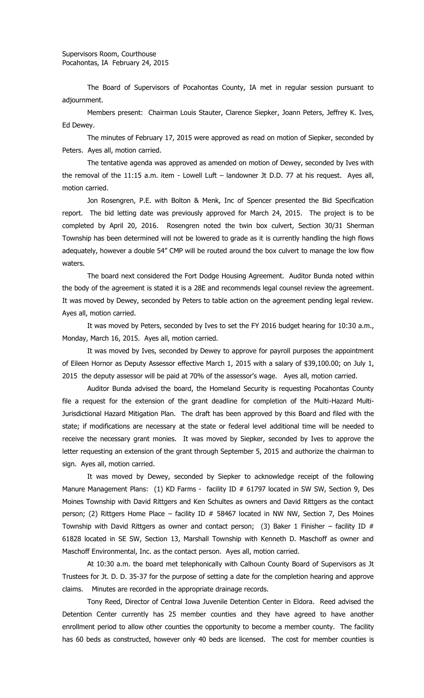The Board of Supervisors of Pocahontas County, IA met in regular session pursuant to adjournment.

Members present: Chairman Louis Stauter, Clarence Siepker, Joann Peters, Jeffrey K. Ives, Ed Dewey.

The minutes of February 17, 2015 were approved as read on motion of Siepker, seconded by Peters. Ayes all, motion carried.

The tentative agenda was approved as amended on motion of Dewey, seconded by Ives with the removal of the 11:15 a.m. item - Lowell Luft – landowner Jt D.D. 77 at his request. Ayes all, motion carried.

Jon Rosengren, P.E. with Bolton & Menk, Inc of Spencer presented the Bid Specification report. The bid letting date was previously approved for March 24, 2015. The project is to be completed by April 20, 2016. Rosengren noted the twin box culvert, Section 30/31 Sherman Township has been determined will not be lowered to grade as it is currently handling the high flows adequately, however a double 54" CMP will be routed around the box culvert to manage the low flow waters.

The board next considered the Fort Dodge Housing Agreement. Auditor Bunda noted within the body of the agreement is stated it is a 28E and recommends legal counsel review the agreement. It was moved by Dewey, seconded by Peters to table action on the agreement pending legal review. Ayes all, motion carried.

It was moved by Peters, seconded by Ives to set the FY 2016 budget hearing for 10:30 a.m., Monday, March 16, 2015. Ayes all, motion carried.

It was moved by Ives, seconded by Dewey to approve for payroll purposes the appointment of Eileen Hornor as Deputy Assessor effective March 1, 2015 with a salary of \$39,100.00; on July 1, 2015 the deputy assessor will be paid at 70% of the assessor's wage. Ayes all, motion carried.

Auditor Bunda advised the board, the Homeland Security is requesting Pocahontas County file a request for the extension of the grant deadline for completion of the Multi-Hazard Multi-Jurisdictional Hazard Mitigation Plan. The draft has been approved by this Board and filed with the state; if modifications are necessary at the state or federal level additional time will be needed to receive the necessary grant monies. It was moved by Siepker, seconded by Ives to approve the letter requesting an extension of the grant through September 5, 2015 and authorize the chairman to sign. Ayes all, motion carried.

It was moved by Dewey, seconded by Siepker to acknowledge receipt of the following Manure Management Plans: (1) KD Farms - facility ID # 61797 located in SW SW, Section 9, Des Moines Township with David Rittgers and Ken Schultes as owners and David Rittgers as the contact person; (2) Rittgers Home Place – facility ID  $#$  58467 located in NW NW, Section 7, Des Moines Township with David Rittgers as owner and contact person; (3) Baker 1 Finisher – facility ID  $#$ 61828 located in SE SW, Section 13, Marshall Township with Kenneth D. Maschoff as owner and Maschoff Environmental, Inc. as the contact person. Ayes all, motion carried.

At 10:30 a.m. the board met telephonically with Calhoun County Board of Supervisors as Jt Trustees for Jt. D. D. 35-37 for the purpose of setting a date for the completion hearing and approve claims. Minutes are recorded in the appropriate drainage records.

Tony Reed, Director of Central Iowa Juvenile Detention Center in Eldora. Reed advised the Detention Center currently has 25 member counties and they have agreed to have another enrollment period to allow other counties the opportunity to become a member county. The facility has 60 beds as constructed, however only 40 beds are licensed. The cost for member counties is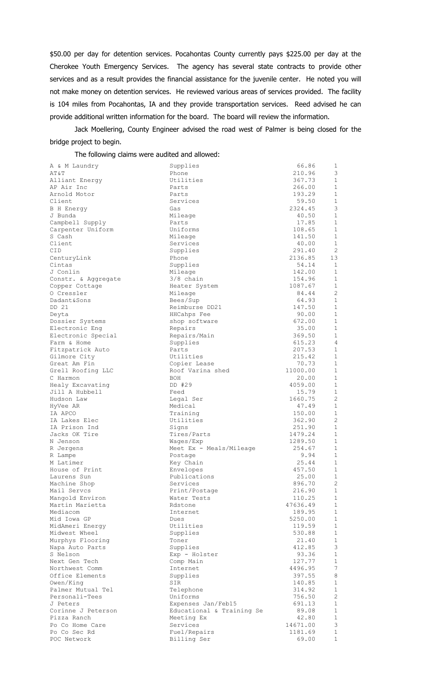\$50.00 per day for detention services. Pocahontas County currently pays \$225.00 per day at the Cherokee Youth Emergency Services. The agency has several state contracts to provide other services and as a result provides the financial assistance for the juvenile center. He noted you will not make money on detention services. He reviewed various areas of services provided. The facility is 104 miles from Pocahontas, IA and they provide transportation services. Reed advised he can provide additional written information for the board. The board will review the information.

Jack Moellering, County Engineer advised the road west of Palmer is being closed for the bridge project to begin.

The following claims were audited and allowed:

| A & M Laundry        | Supplies                  | 66.86    | 1                                     |
|----------------------|---------------------------|----------|---------------------------------------|
| AT&T                 | Phone                     | 210.96   | 3                                     |
| Alliant Energy       | Utilities                 | 367.73   | $\mathbf{1}$                          |
| AP Air Inc           | Parts                     | 266.00   | $\mathbf{1}$                          |
| Arnold Motor         | Parts                     | 193.29   | 1                                     |
| Client               | Services                  | 59.50    | 1                                     |
| B H Energy           | Gas                       | 2324.45  | 3                                     |
| J Bunda              | Mileage                   | 40.50    | $\mathbf{1}$                          |
| Campbell Supply      | Parts                     | 17.85    | $\mathbf{1}$                          |
| Carpenter Uniform    | Uniforms                  | 108.65   | 1                                     |
| S Cash               | Mileage                   | 141.50   | $\mathbf{1}$                          |
| Client               | Services                  | 40.00    | $\mathbf{1}$                          |
| CID                  | Supplies                  | 291.40   | 2                                     |
| CenturyLink          | Phone                     | 2136.85  | 13                                    |
| Cintas               | Supplies                  | 54.14    | 1                                     |
| J Conlin             | Mileage                   | 142.00   | 1                                     |
| Constr. & Aggregate  | $3/8$ chain               | 154.96   | $\mathbf{1}$                          |
| Copper Cottage       | Heater System             | 1087.67  | 1                                     |
| 0 Cressler           | Mileage                   | 84.44    | 2                                     |
| Dadant&Sons          | Bees/Sup                  | 64.93    | $\mathbf{1}$                          |
| DD 21                | Reimburse DD21            | 147.50   | $\mathbf{1}$                          |
| Deyta                | HHCahps Fee               | 90.00    | $\mathbf{1}$                          |
| Dossier Systems      | shop software             | 672.00   | 1                                     |
| Electronic Eng       | Repairs                   | 35.00    | $\mathbf{1}$                          |
| Electronic Special   | Repairs/Main              | 369.50   | $\mathbf{1}$                          |
| Farm & Home          | Supplies                  | 615.23   | 4                                     |
| Fitzpatrick Auto     | Parts                     | 207.53   | $\mathbf{1}$                          |
| Gilmore City         | Utilities                 | 215.42   | 1                                     |
| Great Am Fin         | Copier Lease              | 70.73    | 1                                     |
| Grell Roofing LLC    | Roof Varina shed          | 11000.00 | $\mathbf{1}$                          |
| C Harmon             | BOH                       | 20.00    | 1                                     |
| Healy Excavating     | DD #29                    | 4059.00  | $\mathbf 1$                           |
| Jill A Hubbell       | Feed                      | 15.79    | 1                                     |
| Hudson Law           | Legal Ser                 | 1660.75  | 2                                     |
| HyVee AR             | Medical                   | 47.49    | $\mathbf{1}$                          |
| IA APCO              | Training                  | 150.00   | 1                                     |
| IA Lakes Elec        | Utilities                 | 362.90   | 2                                     |
| IA Prison Ind        | Signs                     | 251.90   | 1                                     |
| Jacks OK Tire        | Tires/Parts               | 1479.24  | 1                                     |
| N Jenson             | Waqes/Exp                 | 1289.50  | $\mathbf{1}$                          |
|                      | Meet Ex - Meals/Mileage   | 254.67   | 1                                     |
| R Jergens<br>R Lampe | Postage                   | 9.94     | $\mathbf{1}$                          |
| M Latimer            | Key Chain                 | 25.44    | 1                                     |
| House of Print       | Envelopes                 | 457.50   | $\mathbf{1}$                          |
| Laurens Sun          | Publications              | 25.00    | 1                                     |
| Machine Shop         | Services                  | 896.70   | $\mathbf{2}^{\prime}$                 |
| Mail Servcs          | Print/Postage             | 216.90   | $\mathbf{1}$                          |
| Mangold Environ      | Water Tests               | 110.25   | $\mathbf{1}$                          |
| Martin Marietta      | Rdstone                   | 47636.49 | $\mathbf{1}$                          |
| Mediacom             | Internet                  | 189.95   | $\mathbf{1}$                          |
| Mid Iowa GP          | Dues                      | 5250.00  | $\mathbf{1}$                          |
| MidAmeri Energy      | Utilities                 |          | $\mathbf{1}$                          |
|                      | Supplies                  | 119.59   | $\mathbf{1}$                          |
| Midwest Wheel        |                           | 530.88   |                                       |
| Murphys Flooring     | Toner                     | 21.40    | $\mathbf 1$<br>3                      |
| Napa Auto Parts      | Supplies                  | 412.85   | $\mathbf{1}$                          |
| S Nelson             | Exp - Holster             | 93.36    |                                       |
| Next Gen Tech        | Comp Main                 | 127.77   | $\mathbf{1}$<br>7                     |
| Northwest Comm       | Internet                  | 4496.95  |                                       |
| Office Elements      | Supplies                  | 397.55   | 8<br>$\mathbf{1}$                     |
| Owen/King            | SIR                       | 140.85   |                                       |
| Palmer Mutual Tel    | Telephone                 | 314.92   | $\mathbf{1}$<br>$\mathbf{2}^{\prime}$ |
| Personali-Tees       | Uniforms                  | 756.50   | $\mathbf{1}$                          |
| J Peters             | Expenses Jan/Feb15        | 691.13   |                                       |
| Corinne J Peterson   | Educational & Training Se | 89.08    | $\mathbf{1}$<br>$\mathbf{1}$          |
| Pizza Ranch          | Meeting Ex                | 42.80    |                                       |
| Po Co Home Care      | Services                  | 14671.00 | 3<br>$\mathbf{1}$                     |
| Po Co Sec Rd         | Fuel/Repairs              | 1181.69  |                                       |
| POC Network          | Billing Ser               | 69.00    | $\mathbf{1}$                          |